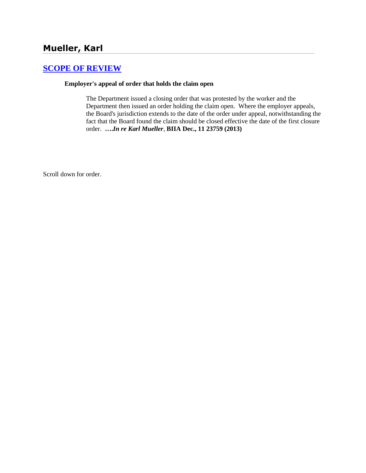# **[SCOPE OF REVIEW](http://www.biia.wa.gov/SDSubjectIndex.html#SCOPE_OF_REVIEW)**

#### **Employer's appeal of order that holds the claim open**

The Department issued a closing order that was protested by the worker and the Department then issued an order holding the claim open. Where the employer appeals, the Board's jurisdiction extends to the date of the order under appeal, notwithstanding the fact that the Board found the claim should be closed effective the date of the first closure order. **….***In re Karl Mueller*, **BIIA Dec., 11 23759 (2013)**

Scroll down for order.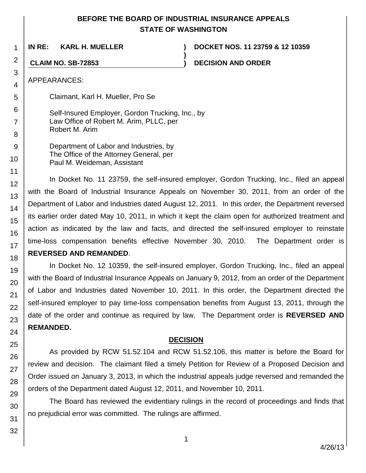## **BEFORE THE BOARD OF INDUSTRIAL INSURANCE APPEALS STATE OF WASHINGTON**

**)**

**IN RE: KARL H. MUELLER ) DOCKET NOS. 11 23759 & 12 10359**

**CLAIM NO. SB-72853 ) DECISION AND ORDER**

APPEARANCES:

1

2

3 4

5

6

7

8 9 Claimant, Karl H. Mueller, Pro Se

Self-Insured Employer, Gordon Trucking, Inc., by Law Office of Robert M. Arim, PLLC, per Robert M. Arim

Department of Labor and Industries, by The Office of the Attorney General, per Paul M. Weideman, Assistant

In Docket No. 11 23759, the self-insured employer, Gordon Trucking, Inc., filed an appeal with the Board of Industrial Insurance Appeals on November 30, 2011, from an order of the Department of Labor and Industries dated August 12, 2011. In this order, the Department reversed its earlier order dated May 10, 2011, in which it kept the claim open for authorized treatment and action as indicated by the law and facts, and directed the self-insured employer to reinstate time-loss compensation benefits effective November 30, 2010. The Department order is **REVERSED AND REMANDED**.

In Docket No. 12 10359, the self-insured employer, Gordon Trucking, Inc., filed an appeal with the Board of Industrial Insurance Appeals on January 9, 2012, from an order of the Department of Labor and Industries dated November 10, 2011. In this order, the Department directed the self-insured employer to pay time-loss compensation benefits from August 13, 2011, through the date of the order and continue as required by law. The Department order is **REVERSED AND REMANDED.** 

### **DECISION**

As provided by RCW 51.52.104 and RCW 51.52.106, this matter is before the Board for review and decision. The claimant filed a timely Petition for Review of a Proposed Decision and Order issued on January 3, 2013, in which the industrial appeals judge reversed and remanded the orders of the Department dated August 12, 2011, and November 10, 2011.

The Board has reviewed the evidentiary rulings in the record of proceedings and finds that no prejudicial error was committed. The rulings are affirmed.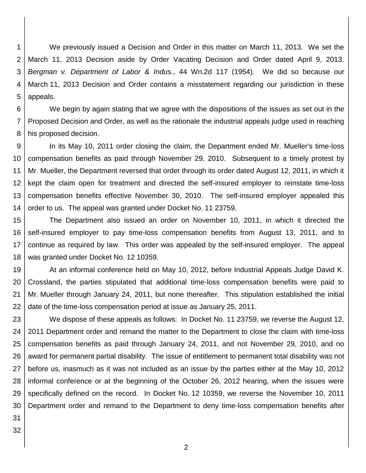1 2 3 4 5 We previously issued a Decision and Order in this matter on March 11, 2013. We set the March 11, 2013 Decision aside by Order Vacating Decision and Order dated April 9, 2013. *Bergman v. Department of Labor & Indus.*, 44 Wn.2d 117 (1954)*.* We did so because our March 11, 2013 Decision and Order contains a misstatement regarding our jurisdiction in these appeals.

6 7 8 We begin by again stating that we agree with the dispositions of the issues as set out in the Proposed Decision and Order, as well as the rationale the industrial appeals judge used in reaching his proposed decision.

9 10 11 12 13 14 In its May 10, 2011 order closing the claim, the Department ended Mr. Mueller's time-loss compensation benefits as paid through November 29, 2010. Subsequent to a timely protest by Mr. Mueller, the Department reversed that order through its order dated August 12, 2011, in which it kept the claim open for treatment and directed the self-insured employer to reinstate time-loss compensation benefits effective November 30, 2010. The self-insured employer appealed this order to us. The appeal was granted under Docket No. 11 23759.

15 16 17 18 The Department also issued an order on November 10, 2011, in which it directed the self-insured employer to pay time-loss compensation benefits from August 13, 2011, and to continue as required by law. This order was appealed by the self-insured employer. The appeal was granted under Docket No. 12 10359.

19 20 21 22 At an informal conference held on May 10, 2012, before Industrial Appeals Judge David K. Crossland, the parties stipulated that additional time-loss compensation benefits were paid to Mr. Mueller through January 24, 2011, but none thereafter. This stipulation established the initial date of the time-loss compensation period at issue as January 25, 2011.

23 24 25 26 27 28 29 30 We dispose of these appeals as follows: In Docket No. 11 23759, we reverse the August 12, 2011 Department order and remand the matter to the Department to close the claim with time-loss compensation benefits as paid through January 24, 2011, and not November 29, 2010, and no award for permanent partial disability. The issue of entitlement to permanent total disability was not before us, inasmuch as it was not included as an issue by the parties either at the May 10, 2012 informal conference or at the beginning of the October 26, 2012 hearing, when the issues were specifically defined on the record. In Docket No. 12 10359, we reverse the November 10, 2011 Department order and remand to the Department to deny time-loss compensation benefits after

31 32

2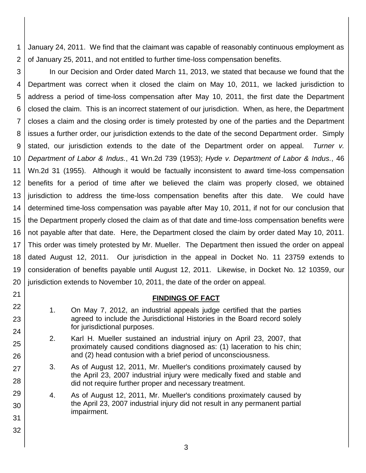1 2 January 24, 2011. We find that the claimant was capable of reasonably continuous employment as of January 25, 2011, and not entitled to further time-loss compensation benefits.

3 4 5 6 7 8 9 10 11 12 13 14 15 16 17 18 19 20 In our Decision and Order dated March 11, 2013, we stated that because we found that the Department was correct when it closed the claim on May 10, 2011, we lacked jurisdiction to address a period of time-loss compensation after May 10, 2011, the first date the Department closed the claim. This is an incorrect statement of our jurisdiction. When, as here, the Department closes a claim and the closing order is timely protested by one of the parties and the Department issues a further order, our jurisdiction extends to the date of the second Department order. Simply stated, our jurisdiction extends to the date of the Department order on appeal. *Turner v. Department of Labor & Indus.*, 41 Wn.2d 739 (1953); *Hyde v. Department of Labor & Indus.*, 46 Wn.2d 31 (1955). Although it would be factually inconsistent to award time-loss compensation benefits for a period of time after we believed the claim was properly closed, we obtained jurisdiction to address the time-loss compensation benefits after this date. We could have determined time-loss compensation was payable after May 10, 2011, if not for our conclusion that the Department properly closed the claim as of that date and time-loss compensation benefits were not payable after that date. Here, the Department closed the claim by order dated May 10, 2011. This order was timely protested by Mr. Mueller. The Department then issued the order on appeal dated August 12, 2011. Our jurisdiction in the appeal in Docket No. 11 23759 extends to consideration of benefits payable until August 12, 2011. Likewise, in Docket No. 12 10359, our jurisdiction extends to November 10, 2011, the date of the order on appeal.

### **FINDINGS OF FACT**

1. On May 7, 2012, an industrial appeals judge certified that the parties agreed to include the Jurisdictional Histories in the Board record solely for jurisdictional purposes.

21

22

23

24

25

26

27

28

29

30

31

32

- 2. Karl H. Mueller sustained an industrial injury on April 23, 2007, that proximately caused conditions diagnosed as: (1) laceration to his chin; and (2) head contusion with a brief period of unconsciousness.
- 3. As of August 12, 2011, Mr. Mueller's conditions proximately caused by the April 23, 2007 industrial injury were medically fixed and stable and did not require further proper and necessary treatment.

4. As of August 12, 2011, Mr. Mueller's conditions proximately caused by the April 23, 2007 industrial injury did not result in any permanent partial impairment.

3